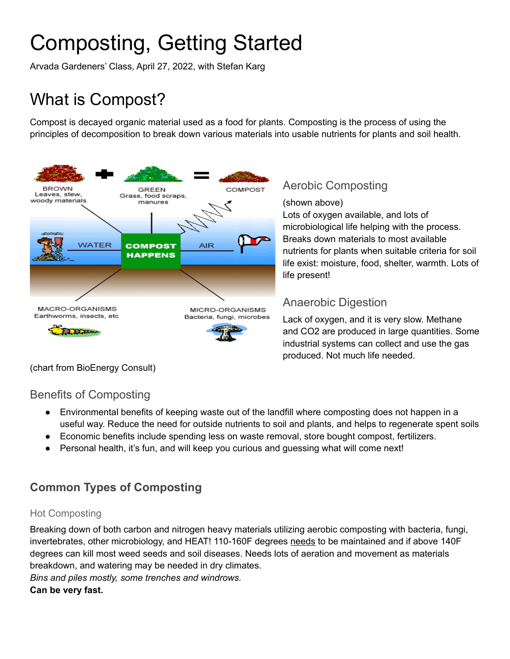# Composting, Getting Started

Arvada Gardeners' Class, April 27, 2022, with Stefan Karg

# What is Compost?

Compost is decayed organic material used as a food for plants. Composting is the process of using the principles of decomposition to break down various materials into usable nutrients for plants and soil health.



## Aerobic Composting

(shown above)

Lots of oxygen available, and lots of microbiological life helping with the process. Breaks down materials to most available nutrients for plants when suitable criteria for soil life exist: moisture, food, shelter, warmth. Lots of life present!

#### Anaerobic Digestion

Lack of oxygen, and it is very slow. Methane and CO2 are produced in large quantities. Some industrial systems can collect and use the gas produced. Not much life needed.

(chart from BioEnergy Consult)

#### Benefits of Composting

- Environmental benefits of keeping waste out of the landfill where composting does not happen in a useful way. Reduce the need for outside nutrients to soil and plants, and helps to regenerate spent soils
- Economic benefits include spending less on waste removal, store bought compost, fertilizers.
- Personal health, it's fun, and will keep you curious and guessing what will come next!

# **Common Types of Composting**

#### Hot Composting

Breaking down of both carbon and nitrogen heavy materials utilizing aerobic composting with bacteria, fungi, invertebrates, other microbiology, and HEAT! 110-160F degrees needs to be maintained and if above 140F degrees can kill most weed seeds and soil diseases. Needs lots of aeration and movement as materials breakdown, and watering may be needed in dry climates.

*Bins and piles mostly, some trenches and windrows.* **Can be very fast.**